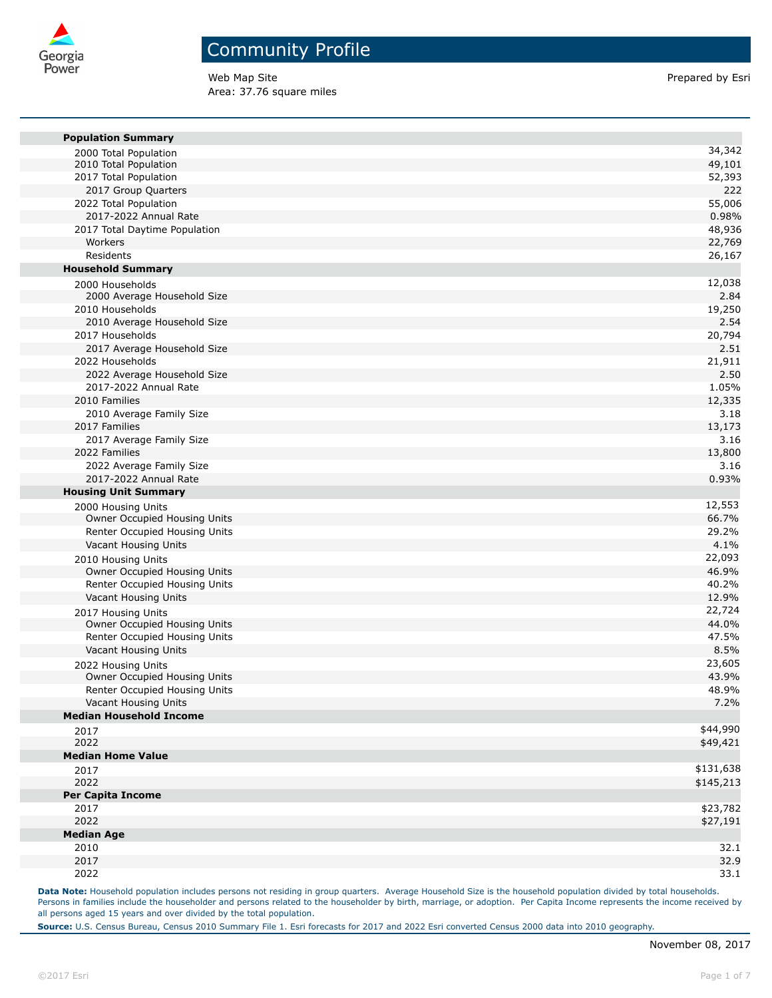

Web Map Site **Prepared by Esri** Prepared by Esri Area: 37.76 square miles

| <b>Population Summary</b>                                     | 34,342          |
|---------------------------------------------------------------|-----------------|
| 2000 Total Population<br>2010 Total Population                | 49,101          |
| 2017 Total Population                                         | 52,393          |
| 2017 Group Quarters                                           | 222             |
| 2022 Total Population                                         | 55,006          |
| 2017-2022 Annual Rate                                         | 0.98%           |
| 2017 Total Daytime Population                                 | 48,936          |
| Workers                                                       | 22,769          |
| Residents                                                     | 26,167          |
| <b>Household Summary</b>                                      |                 |
| 2000 Households                                               | 12,038          |
| 2000 Average Household Size                                   | 2.84            |
| 2010 Households                                               | 19,250          |
| 2010 Average Household Size                                   | 2.54            |
| 2017 Households                                               | 20,794          |
| 2017 Average Household Size                                   | 2.51            |
| 2022 Households                                               | 21,911          |
| 2022 Average Household Size                                   | 2.50            |
| 2017-2022 Annual Rate                                         | 1.05%           |
| 2010 Families                                                 | 12,335          |
| 2010 Average Family Size                                      | 3.18            |
| 2017 Families                                                 | 13,173          |
| 2017 Average Family Size                                      | 3.16            |
| 2022 Families                                                 | 13,800          |
| 2022 Average Family Size                                      | 3.16            |
| 2017-2022 Annual Rate                                         | 0.93%           |
| <b>Housing Unit Summary</b>                                   |                 |
| 2000 Housing Units                                            | 12,553          |
| Owner Occupied Housing Units                                  | 66.7%           |
| Renter Occupied Housing Units                                 | 29.2%<br>4.1%   |
| Vacant Housing Units                                          |                 |
| 2010 Housing Units                                            | 22,093<br>46.9% |
| Owner Occupied Housing Units<br>Renter Occupied Housing Units | 40.2%           |
| Vacant Housing Units                                          | 12.9%           |
|                                                               | 22,724          |
| 2017 Housing Units<br>Owner Occupied Housing Units            | 44.0%           |
| Renter Occupied Housing Units                                 | 47.5%           |
| Vacant Housing Units                                          | 8.5%            |
| 2022 Housing Units                                            | 23,605          |
| Owner Occupied Housing Units                                  | 43.9%           |
| Renter Occupied Housing Units                                 | 48.9%           |
| Vacant Housing Units                                          | 7.2%            |
| <b>Median Household Income</b>                                |                 |
| 2017                                                          | \$44,990        |
| 2022                                                          | \$49,421        |
| <b>Median Home Value</b>                                      |                 |
| 2017                                                          | \$131,638       |
| 2022                                                          | \$145,213       |
| Per Capita Income                                             |                 |
| 2017                                                          | \$23,782        |
| 2022                                                          | \$27,191        |
| <b>Median Age</b>                                             |                 |
| 2010                                                          | 32.1            |
| 2017                                                          | 32.9            |
| 2022                                                          | 33.1            |

Data Note: Household population includes persons not residing in group quarters. Average Household Size is the household population divided by total households. Persons in families include the householder and persons related to the householder by birth, marriage, or adoption. Per Capita Income represents the income received by all persons aged 15 years and over divided by the total population.

**Source:** U.S. Census Bureau, Census 2010 Summary File 1. Esri forecasts for 2017 and 2022 Esri converted Census 2000 data into 2010 geography.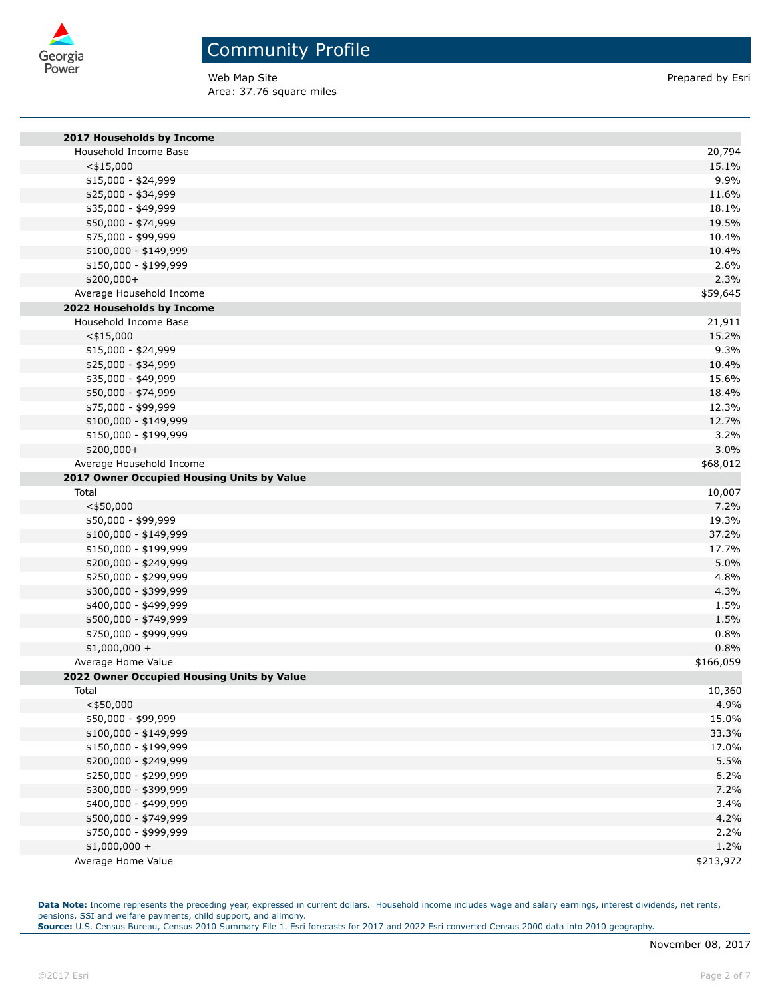

Web Map Site **Prepared by Esri** Prepared by Esri Area: 37.76 square miles

| 2017 Households by Income                  |               |
|--------------------------------------------|---------------|
| Household Income Base                      | 20,794        |
| $<$ \$15,000                               | 15.1%         |
| \$15,000 - \$24,999                        | 9.9%          |
| \$25,000 - \$34,999                        | 11.6%         |
| \$35,000 - \$49,999                        | 18.1%         |
| \$50,000 - \$74,999                        | 19.5%         |
| \$75,000 - \$99,999                        | 10.4%         |
| \$100,000 - \$149,999                      | 10.4%         |
| \$150,000 - \$199,999                      | 2.6%          |
| \$200,000+                                 | 2.3%          |
| Average Household Income                   | \$59,645      |
| 2022 Households by Income                  |               |
| Household Income Base                      | 21,911        |
| $<$ \$15,000                               | 15.2%         |
| \$15,000 - \$24,999                        | 9.3%          |
| \$25,000 - \$34,999                        | 10.4%         |
| \$35,000 - \$49,999                        | 15.6%         |
| \$50,000 - \$74,999                        | 18.4%         |
| \$75,000 - \$99,999                        | 12.3%         |
| \$100,000 - \$149,999                      | 12.7%         |
| \$150,000 - \$199,999                      | 3.2%          |
| \$200,000+                                 | 3.0%          |
| Average Household Income                   | \$68,012      |
| 2017 Owner Occupied Housing Units by Value |               |
| Total                                      | 10,007        |
| $<$ \$50,000                               | 7.2%          |
| \$50,000 - \$99,999                        | 19.3%         |
| \$100,000 - \$149,999                      | 37.2%         |
| \$150,000 - \$199,999                      | 17.7%         |
| \$200,000 - \$249,999                      | 5.0%          |
| \$250,000 - \$299,999                      | 4.8%          |
| \$300,000 - \$399,999                      | 4.3%          |
| \$400,000 - \$499,999                      | 1.5%          |
| \$500,000 - \$749,999                      | 1.5%          |
| \$750,000 - \$999,999                      | 0.8%          |
| $$1,000,000 +$                             | 0.8%          |
| Average Home Value                         | \$166,059     |
| 2022 Owner Occupied Housing Units by Value |               |
| Total                                      | 10,360        |
| $<$ \$50,000<br>\$50,000 - \$99,999        | 4.9%<br>15.0% |
| \$100,000 - \$149,999                      | 33.3%         |
| \$150,000 - \$199,999                      | 17.0%         |
| \$200,000 - \$249,999                      | 5.5%          |
| \$250,000 - \$299,999                      | 6.2%          |
| \$300,000 - \$399,999                      | 7.2%          |
| \$400,000 - \$499,999                      | 3.4%          |
| \$500,000 - \$749,999                      | 4.2%          |
| \$750,000 - \$999,999                      | 2.2%          |
| $$1,000,000 +$                             | 1.2%          |
| Average Home Value                         | \$213,972     |
|                                            |               |

**Data Note:** Income represents the preceding year, expressed in current dollars. Household income includes wage and salary earnings, interest dividends, net rents, pensions, SSI and welfare payments, child support, and alimony.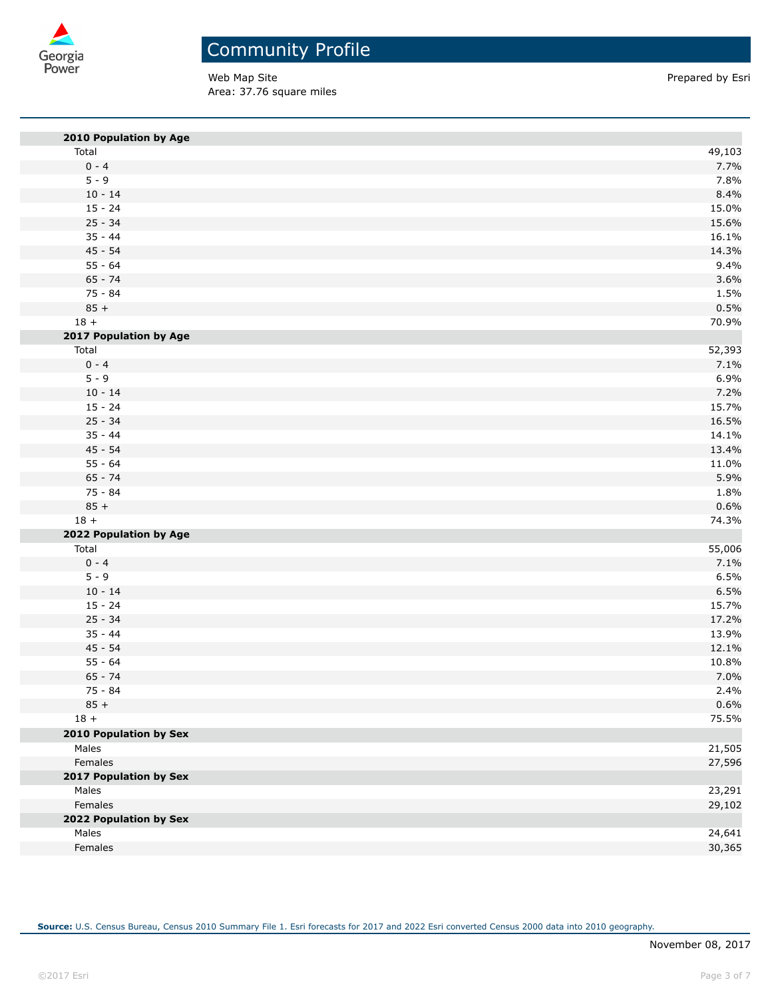

Web Map Site **Prepared by Esri** Prepared by Esri Area: 37.76 square miles

| 2010 Population by Age        |        |
|-------------------------------|--------|
| Total                         | 49,103 |
| $0 - 4$                       | 7.7%   |
| $5 - 9$                       | 7.8%   |
| $10 - 14$                     | 8.4%   |
| $15 - 24$                     | 15.0%  |
| $25 - 34$                     | 15.6%  |
| $35 - 44$                     | 16.1%  |
| $45 - 54$                     | 14.3%  |
| $55 - 64$                     | 9.4%   |
| $65 - 74$                     | 3.6%   |
| 75 - 84                       | 1.5%   |
| $85 +$                        | 0.5%   |
| $18 +$                        | 70.9%  |
| 2017 Population by Age        |        |
| Total                         | 52,393 |
| $0 - 4$                       | 7.1%   |
| $5 - 9$                       | 6.9%   |
| $10 - 14$                     | 7.2%   |
| $15 - 24$                     | 15.7%  |
| $25 - 34$                     | 16.5%  |
| $35 - 44$                     | 14.1%  |
| $45 - 54$                     | 13.4%  |
| $55 - 64$                     | 11.0%  |
| $65 - 74$                     | 5.9%   |
| 75 - 84                       | 1.8%   |
| $85 +$                        | 0.6%   |
| $18 +$                        | 74.3%  |
| 2022 Population by Age        |        |
| Total                         | 55,006 |
| $0 - 4$                       | 7.1%   |
| $5 - 9$                       | 6.5%   |
| $10 - 14$                     | 6.5%   |
| $15 - 24$                     | 15.7%  |
| $25 - 34$                     | 17.2%  |
| $35 - 44$                     | 13.9%  |
| $45 - 54$                     | 12.1%  |
| $55 - 64$                     | 10.8%  |
| $65 - 74$                     | 7.0%   |
| 75 - 84                       | 2.4%   |
| $85 +$                        | 0.6%   |
| $18 +$                        | 75.5%  |
| <b>2010 Population by Sex</b> |        |
| Males                         | 21,505 |
| Females                       | 27,596 |
| 2017 Population by Sex        |        |
| Males                         | 23,291 |
| Females                       | 29,102 |
| 2022 Population by Sex        |        |
| Males                         | 24,641 |
| Females                       | 30,365 |
|                               |        |

**Source:** U.S. Census Bureau, Census 2010 Summary File 1. Esri forecasts for 2017 and 2022 Esri converted Census 2000 data into 2010 geography.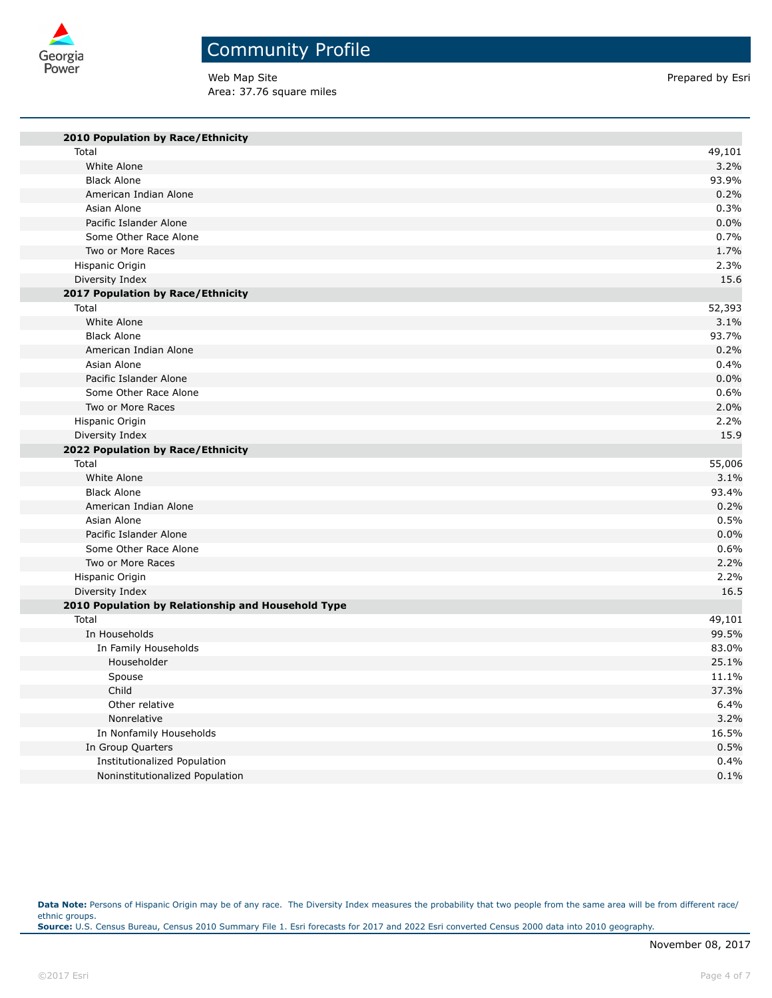

## Community Profile

Web Map Site **Prepared by Esri** Prepared by Esri Area: 37.76 square miles

| 2010 Population by Race/Ethnicity                  |        |
|----------------------------------------------------|--------|
| Total                                              | 49,101 |
| White Alone                                        | 3.2%   |
| <b>Black Alone</b>                                 | 93.9%  |
| American Indian Alone                              | 0.2%   |
| Asian Alone                                        | 0.3%   |
| Pacific Islander Alone                             | 0.0%   |
| Some Other Race Alone                              | 0.7%   |
| Two or More Races                                  | 1.7%   |
| Hispanic Origin                                    | 2.3%   |
| Diversity Index                                    | 15.6   |
| 2017 Population by Race/Ethnicity                  |        |
| Total                                              | 52,393 |
| White Alone                                        | 3.1%   |
| <b>Black Alone</b>                                 | 93.7%  |
| American Indian Alone                              | 0.2%   |
| Asian Alone                                        | 0.4%   |
| Pacific Islander Alone                             | 0.0%   |
| Some Other Race Alone                              | 0.6%   |
| Two or More Races                                  | 2.0%   |
| Hispanic Origin                                    | 2.2%   |
| Diversity Index                                    | 15.9   |
| 2022 Population by Race/Ethnicity                  |        |
| Total                                              | 55,006 |
| White Alone                                        | 3.1%   |
| <b>Black Alone</b>                                 | 93.4%  |
| American Indian Alone                              | 0.2%   |
| Asian Alone                                        | 0.5%   |
| Pacific Islander Alone                             | 0.0%   |
| Some Other Race Alone                              | 0.6%   |
| Two or More Races                                  | 2.2%   |
| Hispanic Origin                                    | 2.2%   |
| Diversity Index                                    | 16.5   |
| 2010 Population by Relationship and Household Type |        |
| Total                                              | 49,101 |
| In Households                                      | 99.5%  |
| In Family Households                               | 83.0%  |
| Householder                                        | 25.1%  |
| Spouse                                             | 11.1%  |
| Child                                              | 37.3%  |
| Other relative                                     | 6.4%   |
| Nonrelative                                        | 3.2%   |
| In Nonfamily Households                            | 16.5%  |
| In Group Quarters                                  | 0.5%   |
| Institutionalized Population                       | 0.4%   |
| Noninstitutionalized Population                    | 0.1%   |

Data Note: Persons of Hispanic Origin may be of any race. The Diversity Index measures the probability that two people from the same area will be from different race/ ethnic groups. **Source:** U.S. Census Bureau, Census 2010 Summary File 1. Esri forecasts for 2017 and 2022 Esri converted Census 2000 data into 2010 geography.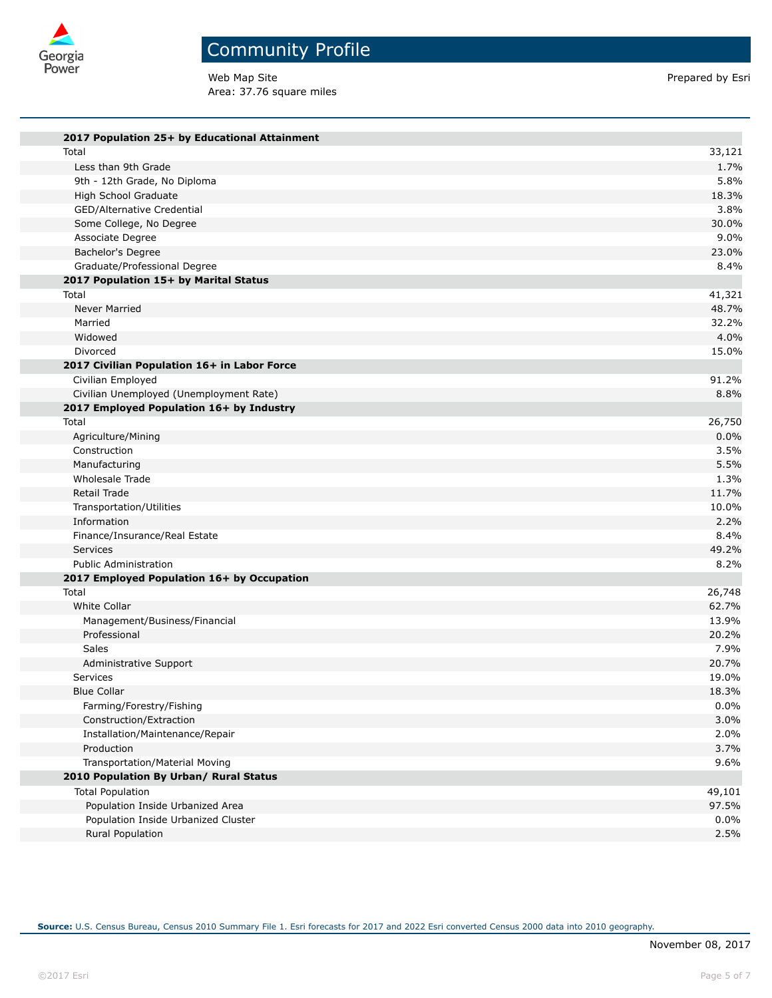

Web Map Site **Prepared by Esri** Prepared by Esri Area: 37.76 square miles

| 2017 Population 25+ by Educational Attainment       |               |
|-----------------------------------------------------|---------------|
| Total                                               | 33,121        |
| Less than 9th Grade                                 | 1.7%          |
| 9th - 12th Grade, No Diploma                        | 5.8%          |
| High School Graduate                                | 18.3%         |
| GED/Alternative Credential                          | 3.8%          |
| Some College, No Degree                             | 30.0%         |
| Associate Degree                                    | 9.0%          |
| Bachelor's Degree                                   | 23.0%         |
| Graduate/Professional Degree                        | 8.4%          |
| 2017 Population 15+ by Marital Status               |               |
| Total                                               | 41,321        |
| Never Married                                       | 48.7%         |
| Married                                             | 32.2%         |
| Widowed                                             | 4.0%          |
| Divorced                                            | 15.0%         |
| 2017 Civilian Population 16+ in Labor Force         |               |
| Civilian Employed                                   | 91.2%         |
| Civilian Unemployed (Unemployment Rate)             | 8.8%          |
| 2017 Employed Population 16+ by Industry            |               |
| Total                                               | 26,750        |
| Agriculture/Mining                                  | 0.0%          |
| Construction                                        | 3.5%          |
| Manufacturing                                       | 5.5%          |
| <b>Wholesale Trade</b>                              | 1.3%          |
| Retail Trade                                        | 11.7%         |
| Transportation/Utilities                            | 10.0%         |
| Information                                         | 2.2%          |
| Finance/Insurance/Real Estate                       | 8.4%<br>49.2% |
| <b>Services</b>                                     |               |
| <b>Public Administration</b>                        | 8.2%          |
| 2017 Employed Population 16+ by Occupation<br>Total | 26,748        |
| White Collar                                        | 62.7%         |
| Management/Business/Financial                       | 13.9%         |
| Professional                                        | 20.2%         |
| Sales                                               | 7.9%          |
| Administrative Support                              | 20.7%         |
| <b>Services</b>                                     | 19.0%         |
| <b>Blue Collar</b>                                  | 18.3%         |
| Farming/Forestry/Fishing                            | 0.0%          |
| Construction/Extraction                             | 3.0%          |
| Installation/Maintenance/Repair                     | 2.0%          |
| Production                                          | 3.7%          |
| Transportation/Material Moving                      | 9.6%          |
| 2010 Population By Urban/ Rural Status              |               |
| <b>Total Population</b>                             | 49,101        |
| Population Inside Urbanized Area                    | 97.5%         |
| Population Inside Urbanized Cluster                 | 0.0%          |
| Rural Population                                    | 2.5%          |
|                                                     |               |

**Source:** U.S. Census Bureau, Census 2010 Summary File 1. Esri forecasts for 2017 and 2022 Esri converted Census 2000 data into 2010 geography.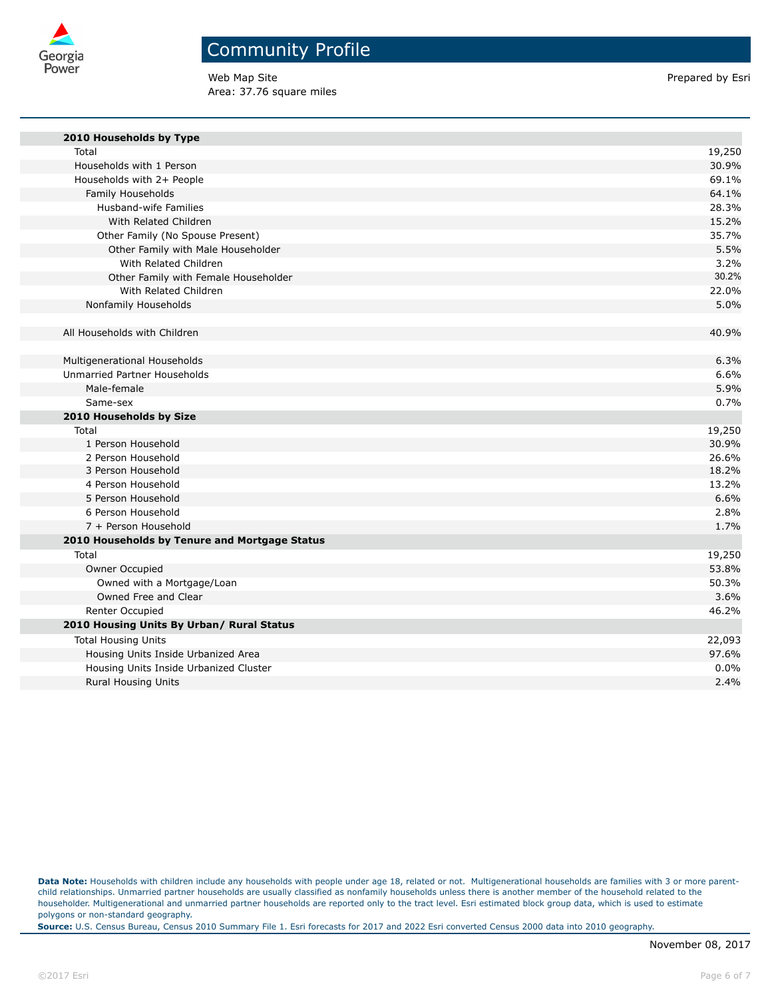

Web Map Site **Prepared by Esri** Prepared by Esri Area: 37.76 square miles

| 2010 Households by Type                       |        |
|-----------------------------------------------|--------|
| Total                                         | 19,250 |
| Households with 1 Person                      | 30.9%  |
| Households with 2+ People                     | 69.1%  |
| Family Households                             | 64.1%  |
| Husband-wife Families                         | 28.3%  |
| With Related Children                         | 15.2%  |
| Other Family (No Spouse Present)              | 35.7%  |
| Other Family with Male Householder            | 5.5%   |
| With Related Children                         | 3.2%   |
| Other Family with Female Householder          | 30.2%  |
| With Related Children                         | 22.0%  |
| Nonfamily Households                          | 5.0%   |
|                                               |        |
| All Households with Children                  | 40.9%  |
|                                               |        |
| Multigenerational Households                  | 6.3%   |
| Unmarried Partner Households                  | 6.6%   |
| Male-female                                   | 5.9%   |
| Same-sex                                      | 0.7%   |
| 2010 Households by Size                       |        |
| Total                                         | 19,250 |
| 1 Person Household                            | 30.9%  |
| 2 Person Household                            | 26.6%  |
| 3 Person Household                            | 18.2%  |
| 4 Person Household                            | 13.2%  |
| 5 Person Household                            | 6.6%   |
| 6 Person Household                            | 2.8%   |
| 7 + Person Household                          | 1.7%   |
| 2010 Households by Tenure and Mortgage Status |        |
| Total                                         | 19,250 |
| Owner Occupied                                | 53.8%  |
| Owned with a Mortgage/Loan                    | 50.3%  |
| Owned Free and Clear                          | 3.6%   |
| Renter Occupied                               | 46.2%  |
| 2010 Housing Units By Urban/ Rural Status     |        |
| <b>Total Housing Units</b>                    | 22,093 |
| Housing Units Inside Urbanized Area           | 97.6%  |
| Housing Units Inside Urbanized Cluster        | 0.0%   |
| <b>Rural Housing Units</b>                    | 2.4%   |

Data Note: Households with children include any households with people under age 18, related or not. Multigenerational households are families with 3 or more parentchild relationships. Unmarried partner households are usually classified as nonfamily households unless there is another member of the household related to the householder. Multigenerational and unmarried partner households are reported only to the tract level. Esri estimated block group data, which is used to estimate polygons or non-standard geography.

**Source:** U.S. Census Bureau, Census 2010 Summary File 1. Esri forecasts for 2017 and 2022 Esri converted Census 2000 data into 2010 geography.